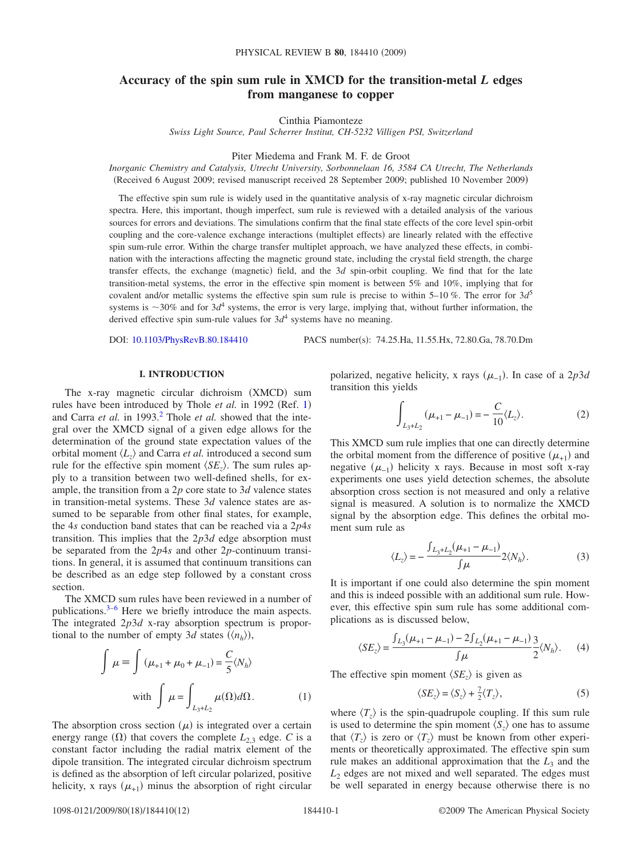# **Accuracy of the spin sum rule in XMCD for the transition-metal** *L* **edges from manganese to copper**

Cinthia Piamonteze

*Swiss Light Source, Paul Scherrer Institut, CH-5232 Villigen PSI, Switzerland*

Piter Miedema and Frank M. F. de Groot

*Inorganic Chemistry and Catalysis, Utrecht University, Sorbonnelaan 16, 3584 CA Utrecht, The Netherlands* Received 6 August 2009; revised manuscript received 28 September 2009; published 10 November 2009-

The effective spin sum rule is widely used in the quantitative analysis of x-ray magnetic circular dichroism spectra. Here, this important, though imperfect, sum rule is reviewed with a detailed analysis of the various sources for errors and deviations. The simulations confirm that the final state effects of the core level spin-orbit coupling and the core-valence exchange interactions (multiplet effects) are linearly related with the effective spin sum-rule error. Within the charge transfer multiplet approach, we have analyzed these effects, in combination with the interactions affecting the magnetic ground state, including the crystal field strength, the charge transfer effects, the exchange (magnetic) field, and the 3*d* spin-orbit coupling. We find that for the late transition-metal systems, the error in the effective spin moment is between 5% and 10%, implying that for covalent and/or metallic systems the effective spin sum rule is precise to within 5–10 %. The error for 3*d*<sup>5</sup> systems is  $\sim$ 30% and for 3 $d^4$  systems, the error is very large, implying that, without further information, the derived effective spin sum-rule values for  $3d^4$  systems have no meaning.

DOI: [10.1103/PhysRevB.80.184410](http://dx.doi.org/10.1103/PhysRevB.80.184410)

PACS number(s): 74.25.Ha, 11.55.Hx, 72.80.Ga, 78.70.Dm

### **I. INTRODUCTION**

<span id="page-0-1"></span>The x-ray magnetic circular dichroism (XMCD) sum rules have been introduced by Thole et al. in [1](#page-10-0)992 (Ref. 1) and Carra *et al.* in 1993.<sup>2</sup> Thole *et al.* showed that the integral over the XMCD signal of a given edge allows for the determination of the ground state expectation values of the orbital moment  $\langle L_z \rangle$  and Carra *et al.* introduced a second sum rule for the effective spin moment  $\langle SE_z \rangle$ . The sum rules apply to a transition between two well-defined shells, for example, the transition from a 2*p* core state to 3*d* valence states in transition-metal systems. These 3*d* valence states are assumed to be separable from other final states, for example, the 4*s* conduction band states that can be reached via a 2*p*4*s* transition. This implies that the 2*p*3*d* edge absorption must be separated from the 2*p*4*s* and other 2*p*-continuum transitions. In general, it is assumed that continuum transitions can be described as an edge step followed by a constant cross section.

The XMCD sum rules have been reviewed in a number of publications[.3](#page-10-2)[–6](#page-10-3) Here we briefly introduce the main aspects. The integrated 2*p*3*d* x-ray absorption spectrum is proportional to the number of empty 3*d* states  $(\langle n_h \rangle)$ ,

$$
\int \mu \equiv \int (\mu_{+1} + \mu_0 + \mu_{-1}) = \frac{C}{5} \langle N_h \rangle
$$
  
with 
$$
\int \mu = \int_{L_3 + L_2} \mu(\Omega) d\Omega.
$$
 (1)

The absorption cross section  $(\mu)$  is integrated over a certain energy range  $(\Omega)$  that covers the complete  $L_{2,3}$  edge. *C* is a constant factor including the radial matrix element of the dipole transition. The integrated circular dichroism spectrum is defined as the absorption of left circular polarized, positive helicity, x rays  $(\mu_{+1})$  minus the absorption of right circular

polarized, negative helicity, x rays  $(\mu_{-1})$ . In case of a 2*p*3*d* transition this yields

$$
\int_{L_3+L_2} (\mu_{+1} - \mu_{-1}) = -\frac{C}{10} \langle L_z \rangle.
$$
 (2)

This XMCD sum rule implies that one can directly determine the orbital moment from the difference of positive  $(\mu_{+1})$  and negative  $(\mu_{-1})$  helicity x rays. Because in most soft x-ray experiments one uses yield detection schemes, the absolute absorption cross section is not measured and only a relative signal is measured. A solution is to normalize the XMCD signal by the absorption edge. This defines the orbital moment sum rule as

$$
\langle L_z \rangle = -\frac{\int_{L_3 + L_2} (\mu_{+1} - \mu_{-1})}{\int \mu} 2 \langle N_h \rangle.
$$
 (3)

It is important if one could also determine the spin moment and this is indeed possible with an additional sum rule. However, this effective spin sum rule has some additional complications as is discussed below,

<span id="page-0-0"></span>
$$
\langle SE_z \rangle = \frac{\int_{L_3} (\mu_{+1} - \mu_{-1}) - 2 \int_{L_2} (\mu_{+1} - \mu_{-1})}{\int \mu} \frac{3}{2} \langle N_h \rangle.
$$
 (4)

The effective spin moment  $\langle SE_z \rangle$  is given as

$$
\langle SE_z \rangle = \langle S_z \rangle + \frac{7}{2} \langle T_z \rangle, \tag{5}
$$

where  $\langle T_z \rangle$  is the spin-quadrupole coupling. If this sum rule is used to determine the spin moment  $\langle S_z \rangle$  one has to assume that  $\langle T_z \rangle$  is zero or  $\langle T_z \rangle$  must be known from other experiments or theoretically approximated. The effective spin sum rule makes an additional approximation that the  $L_3$  and the  $L<sub>2</sub>$  edges are not mixed and well separated. The edges must be well separated in energy because otherwise there is no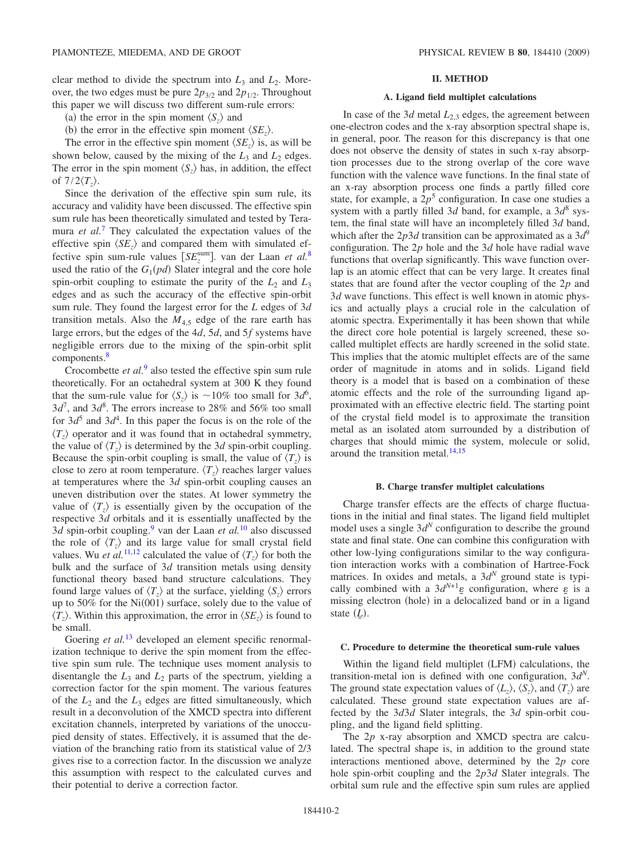clear method to divide the spectrum into  $L_3$  and  $L_2$ . Moreover, the two edges must be pure  $2p_{3/2}$  and  $2p_{1/2}$ . Throughout this paper we will discuss two different sum-rule errors:

- (a) the error in the spin moment  $\langle S_z \rangle$  and
- (b) the error in the effective spin moment  $\langle SE_z \rangle$ .

The error in the effective spin moment  $\langle SE_z \rangle$  is, as will be shown below, caused by the mixing of the  $L_3$  and  $L_2$  edges. The error in the spin moment  $\langle S_z \rangle$  has, in addition, the effect of  $7/2\langle T_z\rangle$ .

Since the derivation of the effective spin sum rule, its accuracy and validity have been discussed. The effective spin sum rule has been theoretically simulated and tested by Teramura *et al.*<sup>[7](#page-10-4)</sup> They calculated the expectation values of the effective spin  $\langle SE \rangle$  and compared them with simulated effective spin sum-rule values  $[SE_z^{\text{sum}}]$ . van der Laan *et al.*<sup>[8](#page-10-5)</sup> used the ratio of the  $G_1(pd)$  Slater integral and the core hole spin-orbit coupling to estimate the purity of the  $L_2$  and  $L_3$ edges and as such the accuracy of the effective spin-orbit sum rule. They found the largest error for the *L* edges of 3*d* transition metals. Also the  $M_{4.5}$  edge of the rare earth has large errors, but the edges of the 4*d*, 5*d*, and 5*f* systems have negligible errors due to the mixing of the spin-orbit split components.<sup>8</sup>

Crocombette *et al.*[9](#page-10-6) also tested the effective spin sum rule theoretically. For an octahedral system at 300 K they found that the sum-rule value for  $\langle S_z \rangle$  is  $\sim 10\%$  too small for  $3d^6$ ,  $3d^7$ , and  $3d^8$ . The errors increase to 28% and 56% too small for  $3d^5$  and  $3d^4$ . In this paper the focus is on the role of the  $\langle T_z \rangle$  operator and it was found that in octahedral symmetry, the value of  $\langle T_z \rangle$  is determined by the 3*d* spin-orbit coupling. Because the spin-orbit coupling is small, the value of  $\langle T_z \rangle$  is close to zero at room temperature.  $\langle T_z \rangle$  reaches larger values at temperatures where the 3*d* spin-orbit coupling causes an uneven distribution over the states. At lower symmetry the value of  $\langle T_z \rangle$  is essentially given by the occupation of the respective 3*d* orbitals and it is essentially unaffected by the 3*d* spin-orbit coupling[.9](#page-10-6) van der Laan *et al.*[10](#page-10-7) also discussed the role of  $\langle T_z \rangle$  and its large value for small crystal field values. Wu *et al.*<sup>[11,](#page-10-8)[12](#page-10-9)</sup> calculated the value of  $\langle T_z \rangle$  for both the bulk and the surface of 3*d* transition metals using density functional theory based band structure calculations. They found large values of  $\langle T_z \rangle$  at the surface, yielding  $\langle S_z \rangle$  errors up to  $50\%$  for the Ni $(001)$  surface, solely due to the value of  $\langle T_z \rangle$ . Within this approximation, the error in  $\langle SE_z \rangle$  is found to be small.

Goering *et al.*<sup>[13](#page-10-10)</sup> developed an element specific renormalization technique to derive the spin moment from the effective spin sum rule. The technique uses moment analysis to disentangle the  $L_3$  and  $L_2$  parts of the spectrum, yielding a correction factor for the spin moment. The various features of the  $L_2$  and the  $L_3$  edges are fitted simultaneously, which result in a deconvolution of the XMCD spectra into different excitation channels, interpreted by variations of the unoccupied density of states. Effectively, it is assumed that the deviation of the branching ratio from its statistical value of 2/3 gives rise to a correction factor. In the discussion we analyze this assumption with respect to the calculated curves and their potential to derive a correction factor.

# **II. METHOD**

### **A. Ligand field multiplet calculations**

In case of the  $3d$  metal  $L_{2,3}$  edges, the agreement between one-electron codes and the x-ray absorption spectral shape is, in general, poor. The reason for this discrepancy is that one does not observe the density of states in such x-ray absorption processes due to the strong overlap of the core wave function with the valence wave functions. In the final state of an x-ray absorption process one finds a partly filled core state, for example, a  $2p<sup>5</sup>$  configuration. In case one studies a system with a partly filled 3*d* band, for example, a  $3d^8$  system, the final state will have an incompletely filled 3*d* band, which after the  $2p3d$  transition can be approximated as a  $3d^9$ configuration. The 2*p* hole and the 3*d* hole have radial wave functions that overlap significantly. This wave function overlap is an atomic effect that can be very large. It creates final states that are found after the vector coupling of the 2*p* and 3*d* wave functions. This effect is well known in atomic physics and actually plays a crucial role in the calculation of atomic spectra. Experimentally it has been shown that while the direct core hole potential is largely screened, these socalled multiplet effects are hardly screened in the solid state. This implies that the atomic multiplet effects are of the same order of magnitude in atoms and in solids. Ligand field theory is a model that is based on a combination of these atomic effects and the role of the surrounding ligand approximated with an effective electric field. The starting point of the crystal field model is to approximate the transition metal as an isolated atom surrounded by a distribution of charges that should mimic the system, molecule or solid, around the transition metal. $14,15$  $14,15$ 

#### **B. Charge transfer multiplet calculations**

Charge transfer effects are the effects of charge fluctuations in the initial and final states. The ligand field multiplet model uses a single  $3d^N$  configuration to describe the ground state and final state. One can combine this configuration with other low-lying configurations similar to the way configuration interaction works with a combination of Hartree-Fock matrices. In oxides and metals, a 3*d<sup>N</sup>* ground state is typically combined with a  $3d^{N+1}$ <sub> $\varepsilon$ </sub> configuration, where  $\varepsilon$  is a missing electron (hole) in a delocalized band or in a ligand state  $(L)$ .

#### **C. Procedure to determine the theoretical sum-rule values**

Within the ligand field multiplet (LFM) calculations, the transition-metal ion is defined with one configuration, 3*d<sup>N</sup>*. The ground state expectation values of  $\langle L_z \rangle$ ,  $\langle S_z \rangle$ , and  $\langle T_z \rangle$  are calculated. These ground state expectation values are affected by the 3*d*3*d* Slater integrals, the 3*d* spin-orbit coupling, and the ligand field splitting.

The 2*p* x-ray absorption and XMCD spectra are calculated. The spectral shape is, in addition to the ground state interactions mentioned above, determined by the 2*p* core hole spin-orbit coupling and the 2*p*3*d* Slater integrals. The orbital sum rule and the effective spin sum rules are applied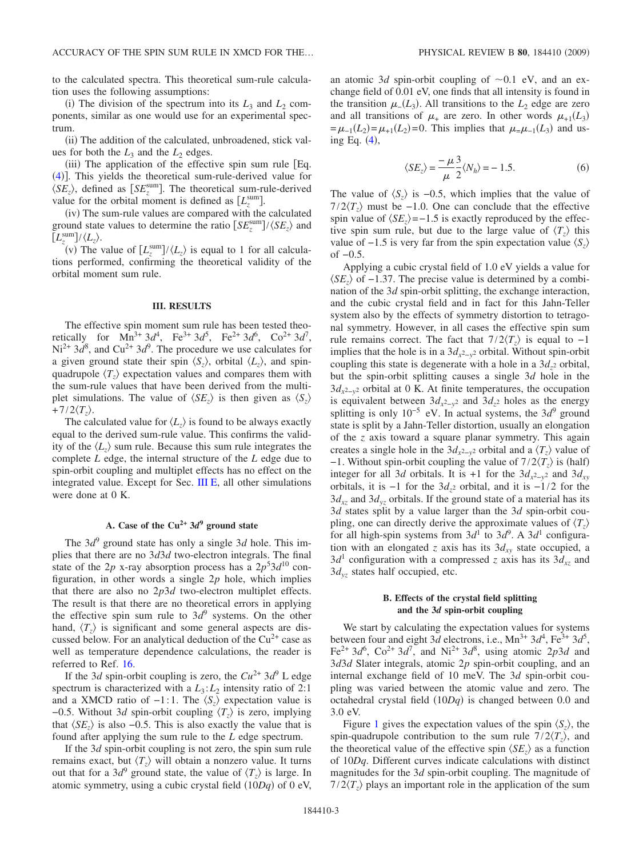to the calculated spectra. This theoretical sum-rule calculation uses the following assumptions:

(i) The division of the spectrum into its  $L_3$  and  $L_2$  components, similar as one would use for an experimental spectrum.

(ii) The addition of the calculated, unbroadened, stick values for both the  $L_3$  and the  $L_2$  edges.

(iii) The application of the effective spin sum rule [Eq. ([4](#page-0-0))]. This yields the theoretical sum-rule-derived value for  $\langle SE_z \rangle$ , defined as  $[SE_z^{\text{sum}}]$ . The theoretical sum-rule-derived value for the orbital moment is defined as  $[L_z^{\text{sum}}]$ .

(iv) The sum-rule values are compared with the calculated ground state values to determine the ratio  $\left[ SE_z^{\text{sum}} \right] / \langle SE_z \rangle$  and  $\left[L_z^{\text{sum}}\right]/\langle L_z\rangle$ .

(v) The value of  $[L_z^{\text{sum}}]/\langle L_z \rangle$  is equal to 1 for all calculations performed, confirming the theoretical validity of the orbital moment sum rule.

#### **III. RESULTS**

The effective spin moment sum rule has been tested theoretically for  $Mn^{3+} 3d^4$ , Fe<sup>3+</sup> 3d<sup>5</sup>, Fe<sup>2+</sup> 3d<sup>6</sup>, Co<sup>2+</sup> 3d<sup>7</sup>,  $Ni^{2+}$   $3d^8$ , and  $Cu^{2+}$   $3d^9$ . The procedure we use calculates for a given ground state their spin  $\langle S_z \rangle$ , orbital  $\langle L_z \rangle$ , and spinquadrupole  $\langle T_z \rangle$  expectation values and compares them with the sum-rule values that have been derived from the multiplet simulations. The value of  $\langle SE_z \rangle$  is then given as  $\langle S_z \rangle$  $+7/2\langle T_z\rangle$ .

The calculated value for  $\langle L_z \rangle$  is found to be always exactly equal to the derived sum-rule value. This confirms the validity of the  $\langle L_z \rangle$  sum rule. Because this sum rule integrates the complete *L* edge, the internal structure of the *L* edge due to spin-orbit coupling and multiplet effects has no effect on the integrated value. Except for Sec. [III E,](#page-6-0) all other simulations were done at 0 K.

### A. Case of the  $Cu^{2+}$   $3d^9$  ground state

<span id="page-2-0"></span>The  $3d^9$  ground state has only a single 3*d* hole. This implies that there are no 3*d*3*d* two-electron integrals. The final state of the 2*p* x-ray absorption process has a  $2p^53d^{10}$  configuration, in other words a single 2*p* hole, which implies that there are also no 2*p*3*d* two-electron multiplet effects. The result is that there are no theoretical errors in applying the effective spin sum rule to  $3d^9$  systems. On the other hand,  $\langle T_z \rangle$  is significant and some general aspects are discussed below. For an analytical deduction of the  $Cu^{2+}$  case as well as temperature dependence calculations, the reader is referred to Ref. [16.](#page-10-13)

If the 3*d* spin-orbit coupling is zero, the  $Cu^{2+}$  3*d*<sup>9</sup> L edge spectrum is characterized with a  $L_3$ :  $L_2$  intensity ratio of 2:1 and a XMCD ratio of  $-1:1$ . The  $\langle S_z \rangle$  expectation value is −0.5. Without 3*d* spin-orbit coupling  $\langle T_z \rangle$  is zero, implying that  $\langle SE_z \rangle$  is also –0.5. This is also exactly the value that is found after applying the sum rule to the *L* edge spectrum.

If the 3*d* spin-orbit coupling is not zero, the spin sum rule remains exact, but  $\langle T_z \rangle$  will obtain a nonzero value. It turns out that for a 3*d*<sup>9</sup> ground state, the value of  $\langle T_z \rangle$  is large. In atomic symmetry, using a cubic crystal field  $(10Dq)$  of 0 eV,

an atomic 3*d* spin-orbit coupling of  $\sim$  0.1 eV, and an exchange field of 0.01 eV, one finds that all intensity is found in the transition  $\mu$ <sub>-</sub>(*L*<sub>3</sub>). All transitions to the *L*<sub>2</sub> edge are zero and all transitions of  $\mu$ <sub>+</sub> are zero. In other words  $\mu$ <sub>+1</sub>(*L*<sub>3</sub>)  $=\mu_{-1}(L_2) = \mu_{+1}(L_2) = 0$ . This implies that  $\mu_{-1}(L_3)$  and using Eq.  $(4)$  $(4)$  $(4)$ ,

$$
\langle SE_z \rangle = \frac{-\mu}{\mu} \frac{3}{2} \langle N_h \rangle = -1.5. \tag{6}
$$

The value of  $\langle S_z \rangle$  is -0.5, which implies that the value of  $7/2\langle T_z \rangle$  must be −1.0. One can conclude that the effective spin value of  $\langle SE_z \rangle$ =−1.5 is exactly reproduced by the effective spin sum rule, but due to the large value of  $\langle T_z \rangle$  this value of  $-1.5$  is very far from the spin expectation value  $\langle S_z \rangle$ of −0.5.

Applying a cubic crystal field of 1.0 eV yields a value for  $\langle SE_z \rangle$  of −1.37. The precise value is determined by a combination of the 3*d* spin-orbit splitting, the exchange interaction, and the cubic crystal field and in fact for this Jahn-Teller system also by the effects of symmetry distortion to tetragonal symmetry. However, in all cases the effective spin sum rule remains correct. The fact that  $7/2\langle T_z \rangle$  is equal to  $-1$ implies that the hole is in a  $3d_{x^2-y^2}$  orbital. Without spin-orbit coupling this state is degenerate with a hole in a  $3d_{z}$ <sup>2</sup> orbital, but the spin-orbit splitting causes a single 3*d* hole in the 3*dx*2−*y*<sup>2</sup> orbital at 0 K. At finite temperatures, the occupation is equivalent between  $3d_{x^2-y^2}$  and  $3d_{z^2}$  holes as the energy splitting is only 10<sup>-5</sup> eV. In actual systems, the 3*d*<sup>9</sup> ground state is split by a Jahn-Teller distortion, usually an elongation of the *z* axis toward a square planar symmetry. This again creates a single hole in the  $3d_{x^2-y^2}$  orbital and a  $\langle T_z \rangle$  value of  $-1$ . Without spin-orbit coupling the value of  $7/2\langle T_z \rangle$  is (half) integer for all 3*d* orbitals. It is +1 for the  $3d_{x^2-y^2}$  and  $3d_{xy}$ orbitals, it is −1 for the 3*dz*<sup>2</sup> orbital, and it is −1/2 for the  $3d_{xz}$  and  $3d_{yz}$  orbitals. If the ground state of a material has its 3*d* states split by a value larger than the 3*d* spin-orbit coupling, one can directly derive the approximate values of  $\langle T_z \rangle$ for all high-spin systems from  $3d^1$  to  $3d^9$ . A  $3d^1$  configuration with an elongated *z* axis has its  $3d_{xy}$  state occupied, a  $3d<sup>1</sup>$  configuration with a compressed *z* axis has its  $3d_{xz}$  and 3*dyz* states half occupied, etc.

# **B. Effects of the crystal field splitting and the 3***d* **spin-orbit coupling**

<span id="page-2-1"></span>We start by calculating the expectation values for systems between four and eight 3*d* electrons, i.e.,  $Mn^{3+}$  3*d*<sup>4</sup>, Fe<sup>3+</sup> 3*d*<sup>5</sup>, Fe<sup>2+</sup> 3*d*<sup>6</sup>, Co<sup>2+</sup> 3*d*<sup>7</sup>, and Ni<sup>2+</sup> 3*d*<sup>8</sup>, using atomic 2*p*3*d* and 3*d*3*d* Slater integrals, atomic 2*p* spin-orbit coupling, and an internal exchange field of 10 meV. The 3*d* spin-orbit coupling was varied between the atomic value and zero. The octahedral crystal field  $(10Dq)$  is changed between 0.0 and 3.0 eV.

Figure [1](#page-3-0) gives the expectation values of the spin  $\langle S_z \rangle$ , the spin-quadrupole contribution to the sum rule  $7/2\langle T_z \rangle$ , and the theoretical value of the effective spin  $\langle SE_z \rangle$  as a function of 10*Dq*. Different curves indicate calculations with distinct magnitudes for the 3*d* spin-orbit coupling. The magnitude of  $7/2\langle T_z \rangle$  plays an important role in the application of the sum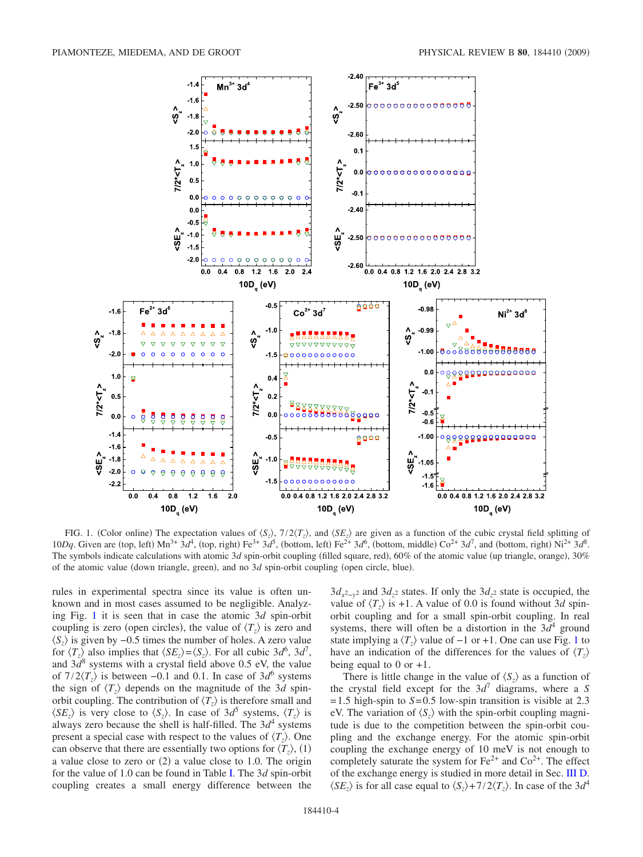<span id="page-3-0"></span>

FIG. 1. (Color online) The expectation values of  $\langle S_z \rangle$ ,  $7/2\langle T_z \rangle$ , and  $\langle SE_z \rangle$  are given as a function of the cubic crystal field splitting of 10*Dq*. Given are (top, left)  $\text{Mn}^{3+}$  3*d*<sup>4</sup>, (top, right) Fe<sup>3+</sup> 3*d*<sup>5</sup>, (bottom, left) Fe<sup>2+</sup> 3*d*<sup>6</sup>, (bottom, middle) Co<sup>2+</sup> 3*d*<sup>7</sup>, and (bottom, right) Ni<sup>2+</sup> 3*d*<sup>8</sup>. The symbols indicate calculations with atomic 3d spin-orbit coupling (filled square, red), 60% of the atomic value (up triangle, orange), 30% of the atomic value (down triangle, green), and no 3d spin-orbit coupling (open circle, blue).

rules in experimental spectra since its value is often unknown and in most cases assumed to be negligible. Analyzing Fig. [1](#page-3-0) it is seen that in case the atomic 3*d* spin-orbit coupling is zero (open circles), the value of  $\langle T_z \rangle$  is zero and  $\langle S_z \rangle$  is given by  $-0.5$  times the number of holes. A zero value for  $\langle T_z \rangle$  also implies that  $\langle SE_z \rangle = \langle S_z \rangle$ . For all cubic 3*d*<sup>6</sup>, 3*d*<sup>7</sup>, and  $3d^8$  systems with a crystal field above 0.5 eV, the value of  $7/2\langle T_z\rangle$  is between −0.1 and 0.1. In case of  $3d^6$  systems the sign of  $\langle T_z \rangle$  depends on the magnitude of the 3*d* spinorbit coupling. The contribution of  $\langle T_z \rangle$  is therefore small and  $\langle SE_z \rangle$  is very close to  $\langle S_z \rangle$ . In case of  $3d^5$  systems,  $\langle T_z \rangle$  is always zero because the shell is half-filled. The  $3d<sup>4</sup>$  systems present a special case with respect to the values of  $\langle T_z \rangle$ . One can observe that there are essentially two options for  $\langle T_z \rangle$ , (1) a value close to zero or  $(2)$  a value close to 1.0. The origin for the value of 1.0 can be found in Table [I.](#page-4-0) The 3*d* spin-orbit coupling creates a small energy difference between the

3*dx*2−*y*<sup>2</sup> and 3*dz*<sup>2</sup> states. If only the 3*dz*<sup>2</sup> state is occupied, the value of  $\langle T_z \rangle$  is +1. A value of 0.0 is found without 3*d* spinorbit coupling and for a small spin-orbit coupling. In real systems, there will often be a distortion in the  $3d^4$  ground state implying a  $\langle T_z \rangle$  value of −[1](#page-3-0) or +1. One can use Fig. 1 to have an indication of the differences for the values of  $\langle T_z \rangle$ being equal to 0 or  $+1$ .

There is little change in the value of  $\langle S_z \rangle$  as a function of the crystal field except for the  $3d^7$  diagrams, where a *S*  $= 1.5$  high-spin to  $S = 0.5$  low-spin transition is visible at 2.3 eV. The variation of  $\langle S_z \rangle$  with the spin-orbit coupling magnitude is due to the competition between the spin-orbit coupling and the exchange energy. For the atomic spin-orbit coupling the exchange energy of 10 meV is not enough to completely saturate the system for  $Fe^{2+}$  and  $Co^{2+}$ . The effect of the exchange energy is studied in more detail in Sec. [III D.](#page-5-0)  $\langle SE_z \rangle$  is for all case equal to  $\langle S_z \rangle + 7/2 \langle T_z \rangle$ . In case of the 3*d*<sup>4</sup>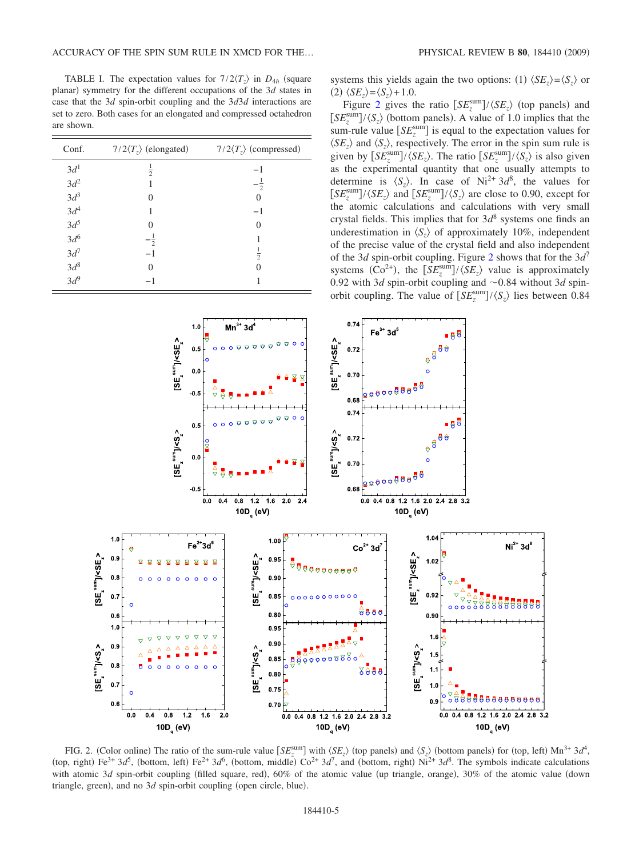<span id="page-4-0"></span>TABLE I. The expectation values for  $7/2\langle T_z \rangle$  in  $D_{4h}$  (square planar) symmetry for the different occupations of the 3*d* states in case that the 3*d* spin-orbit coupling and the 3*d*3*d* interactions are set to zero. Both cases for an elongated and compressed octahedron are shown.

| Conf.               | $7/2\langle T_z \rangle$ (elongated) | $7/2\langle T_z \rangle$ (compressed) |
|---------------------|--------------------------------------|---------------------------------------|
| 3d <sup>1</sup>     | $\frac{1}{2}$                        | $-1$                                  |
| $3d^2$              |                                      | $-\frac{1}{2}$                        |
| $3d^3$<br>$3d^4$    | $\Omega$                             |                                       |
|                     | 1                                    | $-1$                                  |
| $3d^5$<br>$3d^6$    | 0                                    | $\mathbf{0}$                          |
|                     | $\overline{2}$                       |                                       |
| $3d^7$              | $-1$                                 | $\frac{1}{2}$                         |
| $\frac{3d^8}{3d^9}$ | $\Omega$                             |                                       |
|                     |                                      |                                       |

systems this yields again the two options: (1)  $\langle SE_z \rangle = \langle S_z \rangle$  or  $\langle SE_z \rangle = \langle S_z \rangle + 1.0.$ 

Figure [2](#page-4-1) gives the ratio  $\left[ SE_z^{\text{sum}} \right] / \langle SE_z \rangle$  (top panels) and  $[SE_z^{\text{sum}}]/\langle S_z \rangle$  (bottom panels). A value of 1.0 implies that the sum-rule value  $\left[ SE_z^{\text{sum}} \right]$  is equal to the expectation values for  $\langle SE_z \rangle$  and  $\langle S_z \rangle$ , respectively. The error in the spin sum rule is given by  $\left[ SE_z^{\text{sum}} \right] / \langle SE_z \rangle$ . The ratio  $\left[ SE_z^{\text{sum}} \right] / \langle S_z \rangle$  is also given as the experimental quantity that one usually attempts to determine is  $\langle S_z \rangle$ . In case of Ni<sup>2+</sup> 3*d*<sup>8</sup>, the values for  $[SE_z^{\text{sum}}]/\langle SE_z \rangle$  and  $[SE_z^{\text{sum}}]/\langle S_z \rangle$  are close to 0.90, except for the atomic calculations and calculations with very small crystal fields. This implies that for 3*d*<sup>8</sup> systems one finds an underestimation in  $\langle S_z \rangle$  of approximately 10%, independent of the precise value of the crystal field and also independent of the 3*d* spin-orbit coupling. Figure [2](#page-4-1) shows that for the 3*d*<sup>7</sup> systems (Co<sup>2+</sup>), the  $\left[ SE_z^{\text{sum}} \right] / \langle SE_z \rangle$  value is approximately 0.92 with 3*d* spin-orbit coupling and  $\sim$  0.84 without 3*d* spinorbit coupling. The value of  $\left[ SE_z^{\text{sum}} \right] / \langle S_z \rangle$  lies between 0.84

<span id="page-4-1"></span>

FIG. 2. (Color online) The ratio of the sum-rule value  $[SE_z^{\text{sum}}]$  with  $\langle SE_z \rangle$  (top panels) and  $\langle S_z \rangle$  (bottom panels) for (top, left) Mn<sup>3+</sup> 3*d*<sup>4</sup>, (top, right)  $Fe^{3+}$   $3d^5$ , (bottom, left)  $Fe^{2+}$   $3d^6$ , (bottom, middle)  $Co^{2+}$   $3d^7$ , and (bottom, right)  $Ni^{2+}$   $3d^8$ . The symbols indicate calculations with atomic 3d spin-orbit coupling (filled square, red), 60% of the atomic value (up triangle, orange), 30% of the atomic value (down triangle, green), and no 3d spin-orbit coupling (open circle, blue).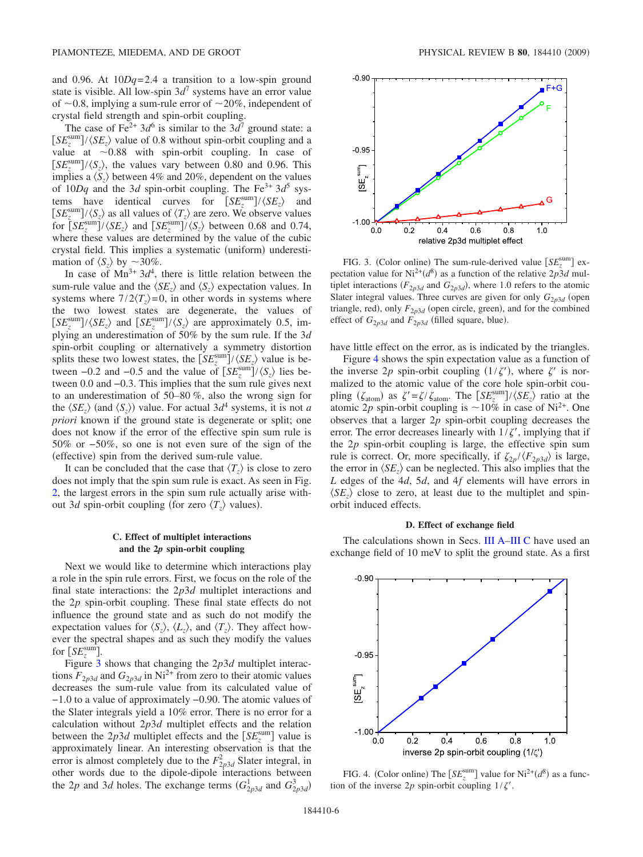and 0.96. At 10*Dq*= 2.4 a transition to a low-spin ground state is visible. All low-spin  $3d^7$  systems have an error value of  $\sim$ 0.8, implying a sum-rule error of  $\sim$ 20%, independent of crystal field strength and spin-orbit coupling.

The case of Fe<sup>2+</sup> 3 $d^6$  is similar to the 3 $d^7$  ground state: a  $[SE_z^{\text{sum}}]/\langle SE_z \rangle$  value of 0.8 without spin-orbit coupling and a value at  $\sim 0.88$  with spin-orbit coupling. In case of  $[SE_z^{\text{sum}}]/\langle S_z \rangle$ , the values vary between 0.80 and 0.96. This implies a  $\langle S_z \rangle$  between 4% and 20%, dependent on the values of  $10Dq$  and the 3*d* spin-orbit coupling. The Fe<sup>3+</sup> 3*d*<sup>5</sup> systems have identical curves for  $\left[SE_z^{\text{sum}}\right] / \langle SE_z \rangle$  and  $[SE_z^{\text{sum}}]/\langle S_z \rangle$  as all values of  $\langle T_z \rangle$  are zero. We observe values for  $\left[\frac{S E_z^{\text{sum}}\right]}{\langle SE_z \rangle}$  and  $\left[\frac{S E_z^{\text{sum}}\right]}{\langle S_z \rangle}$  between 0.68 and 0.74, where these values are determined by the value of the cubic crystal field. This implies a systematic (uniform) underestimation of  $\langle S_z \rangle$  by  $\sim$ 30%.

In case of  $Mn^{3+}$  3 $d^4$ , there is little relation between the sum-rule value and the  $\langle SE_z \rangle$  and  $\langle S_z \rangle$  expectation values. In systems where  $7/2\langle T_z\rangle = 0$ , in other words in systems where the two lowest states are degenerate, the values of  $[SE_z^{\text{sum}}]/\langle SE_z \rangle$  and  $[SE_z^{\text{sum}}]/\langle S_z \rangle$  are approximately 0.5, implying an underestimation of 50% by the sum rule. If the 3*d* spin-orbit coupling or alternatively a symmetry distortion splits these two lowest states, the  $\left[ SE_z^{\text{sum}} \right] / \langle SE_z \rangle$  value is between  $-0.2$  and  $-0.5$  and the value of  $\left[ SE_z^{\text{sum}} \right] / \langle S_z \rangle$  lies between 0.0 and −0.3. This implies that the sum rule gives next to an underestimation of 50–80 %, also the wrong sign for the  $\langle SE_z \rangle$  (and  $\langle S_z \rangle$ ) value. For actual 3*d*<sup>4</sup> systems, it is not *a priori* known if the ground state is degenerate or split; one does not know if the error of the effective spin sum rule is 50% or −50*%*, so one is not even sure of the sign of the (effective) spin from the derived sum-rule value.

It can be concluded that the case that  $\langle T_z \rangle$  is close to zero does not imply that the spin sum rule is exact. As seen in Fig. [2,](#page-4-1) the largest errors in the spin sum rule actually arise without 3*d* spin-orbit coupling (for zero  $\langle T_z \rangle$  values).

# **C. Effect of multiplet interactions and the 2***p* **spin-orbit coupling**

<span id="page-5-3"></span>Next we would like to determine which interactions play a role in the spin rule errors. First, we focus on the role of the final state interactions: the 2*p*3*d* multiplet interactions and the 2*p* spin-orbit coupling. These final state effects do not influence the ground state and as such do not modify the expectation values for  $\langle S_z \rangle$ ,  $\langle L_z \rangle$ , and  $\langle T_z \rangle$ . They affect however the spectral shapes and as such they modify the values for  $\left[SE_z^{\text{sum}}\right]$ .

Figure [3](#page-5-1) shows that changing the 2*p*3*d* multiplet interactions  $F_{2p3d}$  and  $G_{2p3d}$  in Ni<sup>2+</sup> from zero to their atomic values decreases the sum-rule value from its calculated value of −1.0 to a value of approximately −0.90. The atomic values of the Slater integrals yield a 10% error. There is no error for a calculation without 2*p*3*d* multiplet effects and the relation between the  $2p3d$  multiplet effects and the  $[SE<sub>z</sub><sup>sum</sup>]$  value is approximately linear. An interesting observation is that the error is almost completely due to the  $F_{2p3d}^2$  Slater integral, in other words due to the dipole-dipole interactions between the 2*p* and 3*d* holes. The exchange terms  $(G_{2p3d}^1$  and  $G_{2p3d}^3$ 

<span id="page-5-1"></span>

FIG. 3. (Color online) The sum-rule-derived value  $\left[SE_z^{\text{sum}}\right]$  expectation value for  $Ni^{2+}(d^8)$  as a function of the relative  $2p3d$  multiplet interactions  $(F_{2p3d}$  and  $G_{2p3d})$ , where 1.0 refers to the atomic Slater integral values. Three curves are given for only  $G_{2p3d}$  (open triangle, red), only  $F_{2p3d}$  (open circle, green), and for the combined effect of  $G_{2p3d}$  and  $F_{2p3d}$  (filled square, blue).

have little effect on the error, as is indicated by the triangles.

Figure [4](#page-5-2) shows the spin expectation value as a function of the inverse 2p spin-orbit coupling  $(1/\zeta')$ , where  $\zeta'$  is normalized to the atomic value of the core hole spin-orbit coupling ( $\zeta_{\text{atom}}$ ) as  $\zeta' = \zeta / \zeta_{\text{atom}}$ . The  $\left[ SE_z^{\text{sum}} \right] / \langle SE_z \rangle$  ratio at the atomic 2p spin-orbit coupling is  $\sim 10\%$  in case of Ni<sup>2+</sup>. One observes that a larger 2*p* spin-orbit coupling decreases the error. The error decreases linearly with  $1/\zeta'$ , implying that if the 2*p* spin-orbit coupling is large, the effective spin sum rule is correct. Or, more specifically, if  $\zeta_{2p}/\langle F_{2p3d} \rangle$  is large, the error in  $\langle SE_z \rangle$  can be neglected. This also implies that the *L* edges of the 4*d*, 5*d*, and 4*f* elements will have errors in  $\langle SE_z \rangle$  close to zero, at least due to the multiplet and spinorbit induced effects.

#### **D. Effect of exchange field**

<span id="page-5-0"></span>The calculations shown in Secs. [III A](#page-2-0)[–III C](#page-5-3) have used an exchange field of 10 meV to split the ground state. As a first

<span id="page-5-2"></span>

FIG. 4. (Color online) The  $[SE_z^{\text{sum}}]$  value for Ni<sup>2+</sup>( $d^8$ ) as a function of the inverse  $2p$  spin-orbit coupling  $1/\zeta'$ .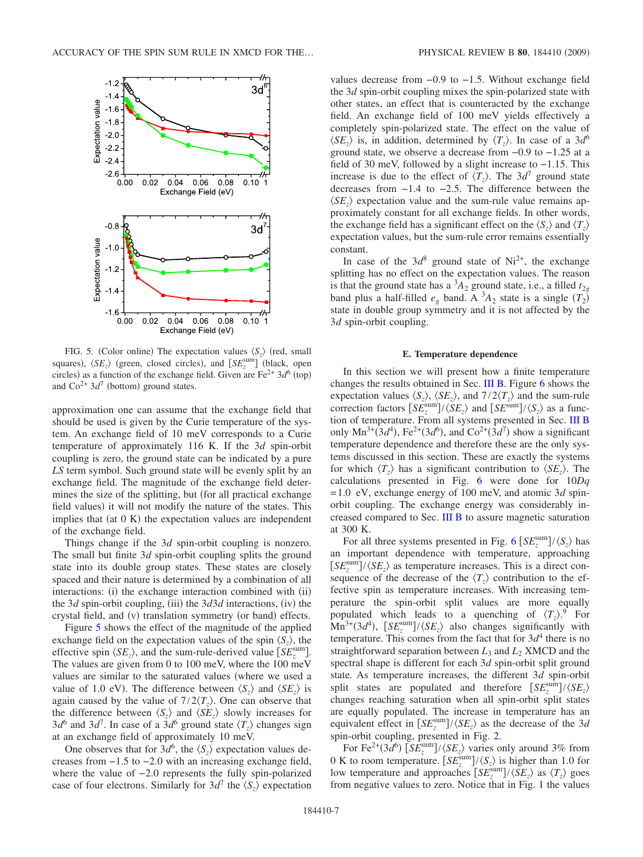<span id="page-6-1"></span>

FIG. 5. (Color online) The expectation values  $\langle S_z \rangle$  (red, small squares),  $\langle SE_z \rangle$  (green, closed circles), and  $[SE_z^{\text{sum}}]$  (black, open circles) as a function of the exchange field. Given are  $Fe^{2+}$   $3d^6$  (top) and  $\text{Co}^{2+}$  3*d*<sup>7</sup> (bottom) ground states.

approximation one can assume that the exchange field that should be used is given by the Curie temperature of the system. An exchange field of 10 meV corresponds to a Curie temperature of approximately 116 K. If the 3*d* spin-orbit coupling is zero, the ground state can be indicated by a pure *LS* term symbol. Such ground state will be evenly split by an exchange field. The magnitude of the exchange field determines the size of the splitting, but (for all practical exchange field values) it will not modify the nature of the states. This implies that (at 0 K) the expectation values are independent of the exchange field.

Things change if the 3*d* spin-orbit coupling is nonzero. The small but finite 3*d* spin-orbit coupling splits the ground state into its double group states. These states are closely spaced and their nature is determined by a combination of all interactions: (i) the exchange interaction combined with (ii) the 3*d* spin-orbit coupling, (iii) the  $3d3d$  interactions, (iv) the crystal field, and (v) translation symmetry (or band) effects.

Figure [5](#page-6-1) shows the effect of the magnitude of the applied exchange field on the expectation values of the spin  $\langle S_z \rangle$ , the effective spin  $\langle SE_z \rangle$ , and the sum-rule-derived value  $\left[ SE_z^{\text{sum}} \right]$ . The values are given from 0 to 100 meV, where the 100 meV values are similar to the saturated values (where we used a value of 1.0 eV). The difference between  $\langle S_z \rangle$  and  $\langle SE_z \rangle$  is again caused by the value of  $7/2\langle T_z \rangle$ . One can observe that the difference between  $\langle S_z \rangle$  and  $\langle SE_z \rangle$  slowly increases for  $3d^6$  and  $3d^7$ . In case of a  $3d^6$  ground state  $\langle T_z \rangle$  changes sign at an exchange field of approximately 10 meV.

One observes that for  $3d^6$ , the  $\langle S_z \rangle$  expectation values decreases from −1.5 to −2.0 with an increasing exchange field, where the value of −2.0 represents the fully spin-polarized case of four electrons. Similarly for  $3d^7$  the  $\langle S_z \rangle$  expectation values decrease from −0.9 to −1.5. Without exchange field the 3*d* spin-orbit coupling mixes the spin-polarized state with other states, an effect that is counteracted by the exchange field. An exchange field of 100 meV yields effectively a completely spin-polarized state. The effect on the value of  $\langle SE_z \rangle$  is, in addition, determined by  $\langle T_z \rangle$ . In case of a 3*d*<sup>6</sup> ground state, we observe a decrease from −0.9 to −1.25 at a field of 30 meV, followed by a slight increase to −1.15. This increase is due to the effect of  $\langle T_z \rangle$ . The  $3d^7$  ground state decreases from −1.4 to −2.5. The difference between the  $\langle SE_z \rangle$  expectation value and the sum-rule value remains approximately constant for all exchange fields. In other words, the exchange field has a significant effect on the  $\langle S_z \rangle$  and  $\langle T_z \rangle$ expectation values, but the sum-rule error remains essentially constant.

In case of the  $3d^8$  ground state of Ni<sup>2+</sup>, the exchange splitting has no effect on the expectation values. The reason is that the ground state has a  ${}^{3}A_2$  ground state, i.e., a filled  $t_{2g}$ band plus a half-filled  $e_g$  band. A  ${}^3A_2$  state is a single  $(T_2)$ state in double group symmetry and it is not affected by the 3*d* spin-orbit coupling.

#### **E. Temperature dependence**

<span id="page-6-0"></span>In this section we will present how a finite temperature changes the results obtained in Sec. [III B.](#page-2-1) Figure [6](#page-7-0) shows the expectation values  $\langle S_z \rangle$ ,  $\langle SE_z \rangle$ , and  $7/2\langle T_z \rangle$  and the sum-rule correction factors  $\left[ SE_z^{\text{sum}} \right] / \langle SE_z \rangle$  and  $\left[ SE_{\text{sum}} \right] / \langle S_z \rangle$  as a function of temperature. From all systems presented in Sec. [III B](#page-2-1) only  $Mn^{3+}(3d^4)$ , Fe<sup>2+</sup>(3*d*<sup>6</sup>), and Co<sup>2+</sup>(3*d*<sup>7</sup>) show a significant temperature dependence and therefore these are the only systems discussed in this section. These are exactly the systems for which  $\langle T_z \rangle$  has a significant contribution to  $\langle SE_z \rangle$ . The calculations presented in Fig. [6](#page-7-0) were done for 10*Dq* = 1.0 eV, exchange energy of 100 meV, and atomic 3*d* spinorbit coupling. The exchange energy was considerably increased compared to Sec. [III B](#page-2-1) to assure magnetic saturation at 300 K.

For all three systems presented in Fig. [6](#page-7-0)  $\left[SE_z^{\text{sum}}\right]/\langle S_z \rangle$  has an important dependence with temperature, approaching  $[SE_z^{\text{sum}}] / \langle SE_z \rangle$  as temperature increases. This is a direct consequence of the decrease of the  $\langle T_z \rangle$  contribution to the effective spin as temperature increases. With increasing temperature the spin-orbit split values are more equally populated which leads to a quenching of  $\langle T_z \rangle$ .<sup>[9](#page-10-6)</sup> For  $\text{Mn}^{3+}(3d^4)$ ,  $\left[\text{SE}_{z}^{\text{sum}}\right]/\langle \text{SE}_{z}\rangle$  also changes significantly with temperature. This comes from the fact that for  $3d<sup>4</sup>$  there is no straightforward separation between  $L_3$  and  $L_2$  XMCD and the spectral shape is different for each 3*d* spin-orbit split ground state. As temperature increases, the different 3*d* spin-orbit split states are populated and therefore  $\left[ SE_z^{\text{sum}} \right] / \langle SE_z \rangle$ changes reaching saturation when all spin-orbit split states are equally populated. The increase in temperature has an equivalent effect in  $\left[ SE_z^{\text{sum}} \right] / \langle SE_z \rangle$  as the decrease of the 3*d* spin-orbit coupling, presented in Fig. [2.](#page-4-1)

For Fe<sup>2+</sup>(3*d*<sup>6</sup>)  $\left[ SE_z^{\text{sum}} \right] / \langle SE_z \rangle$  varies only around 3% from 0 K to room temperature.  $\left[ SE_z^{\text{sum}} \right] / \langle S_z \rangle$  is higher than 1.0 for low temperature and approaches  $\frac{S E_z^{\text{sum}}}{\langle SE_z \rangle}$  as  $\langle T_z \rangle$  goes from negative values to zero. Notice that in Fig. [1](#page-3-0) the values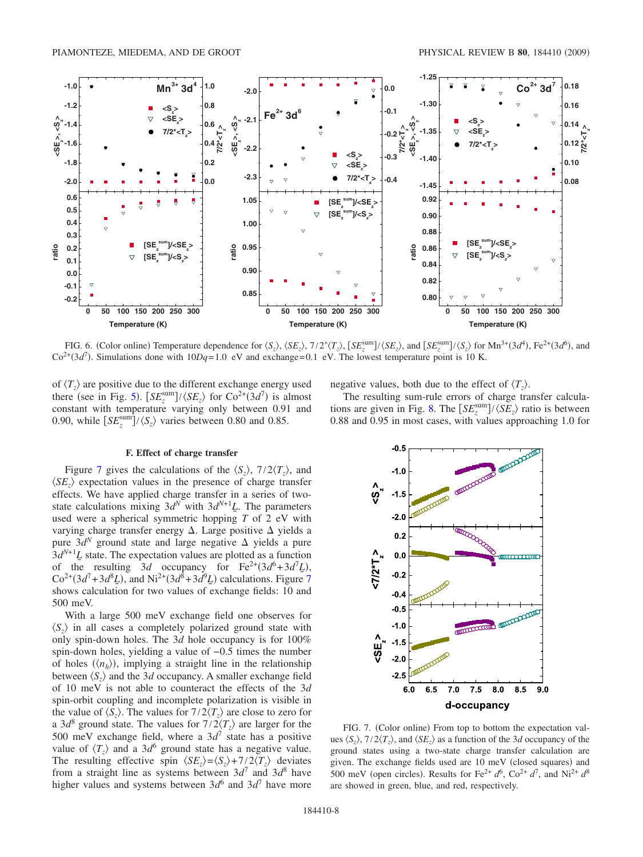<span id="page-7-0"></span>

FIG. 6. (Color online) Temperature dependence for  $\langle S_z \rangle$ ,  $\langle SE_z \rangle$ ,  $7/2^* \langle T_z \rangle$ ,  $[SE_z^{\text{sum}}] / \langle SE_z \rangle$ , and  $[SE_z^{\text{sum}}] / \langle S_z \rangle$  for  $\text{Mn}^{3+}(3d^4)$ ,  $\text{Fe}^{2+}(3d^6)$ , and  $Co^{2+}(3d^7)$ . Simulations done with  $10Dq=1.0$  eV and exchange= 0.1 eV. The lowest temperature point is 10 K.

of  $\langle T_z \rangle$  are positive due to the different exchange energy used there (see in Fig. [5](#page-6-1)).  $[SE_z^{\text{sum}}]/\langle SE_z \rangle$  for  $\text{Co}^{2+}(3d^7)$  is almost constant with temperature varying only between 0.91 and 0.90, while  $\left[ SE_z^{\text{sum}} \right] / \langle S_z \rangle$  varies between 0.80 and 0.85.

## **F. Effect of charge transfer**

Figure [7](#page-7-1) gives the calculations of the  $\langle S_z \rangle$ ,  $7/2 \langle T_z \rangle$ , and  $\langle SE_z \rangle$  expectation values in the presence of charge transfer effects. We have applied charge transfer in a series of twostate calculations mixing  $3d^N$  with  $3d^{N+1}L$ . The parameters used were a spherical symmetric hopping *T* of 2 eV with varying charge transfer energy  $\Delta$ . Large positive  $\Delta$  yields a pure  $3d^N$  ground state and large negative  $\Delta$  yields a pure  $3d^{N+1}L$  state. The expectation values are plotted as a function of the resulting 3*d* occupancy for  $\text{Fe}^{2+}(3d^6+3d^7\underline{L})$ ,  $Co^{2+}(3d^7+3d^8\underline{L})$  $Co^{2+}(3d^7+3d^8\underline{L})$  $Co^{2+}(3d^7+3d^8\underline{L})$ , and  $Ni^{2+}(3d^8+3d^9\underline{L})$  calculations. Figure 7 shows calculation for two values of exchange fields: 10 and 500 meV.

With a large 500 meV exchange field one observes for  $\langle S_z \rangle$  in all cases a completely polarized ground state with only spin-down holes. The 3*d* hole occupancy is for 100% spin-down holes, yielding a value of −0.5 times the number of holes  $(\langle n_h \rangle)$ , implying a straight line in the relationship between  $\langle S_z \rangle$  and the 3*d* occupancy. A smaller exchange field of 10 meV is not able to counteract the effects of the 3*d* spin-orbit coupling and incomplete polarization is visible in the value of  $\langle S_z \rangle$ . The values for  $7/2\langle T_z \rangle$  are close to zero for a 3*d*<sup>8</sup> ground state. The values for  $7/2\langle T_z \rangle$  are larger for the 500 meV exchange field, where a  $3d^7$  state has a positive value of  $\langle T_z \rangle$  and a 3*d*<sup>6</sup> ground state has a negative value. The resulting effective spin  $\langle SE_z \rangle = \langle S_z \rangle + 7/2 \langle T_z \rangle$  deviates from a straight line as systems between  $3d^7$  and  $3d^8$  have higher values and systems between  $3d^6$  and  $3d^7$  have more negative values, both due to the effect of  $\langle T_z \rangle$ .

The resulting sum-rule errors of charge transfer calcula-tions are given in Fig. [8.](#page-8-0) The  $\left[ SE_z^{\text{sum}} \right] / \langle SE_z \rangle$  ratio is between 0.88 and 0.95 in most cases, with values approaching 1.0 for

<span id="page-7-1"></span>

FIG. 7. (Color online) From top to bottom the expectation values  $\langle S_z \rangle$ ,  $7/2 \langle T_z \rangle$ , and  $\langle SE_z \rangle$  as a function of the 3*d* occupancy of the ground states using a two-state charge transfer calculation are given. The exchange fields used are 10 meV (closed squares) and 500 meV (open circles). Results for Fe<sup>2+</sup>  $d^6$ , Co<sup>2+</sup>  $d^7$ , and Ni<sup>2+</sup>  $d^8$ are showed in green, blue, and red, respectively.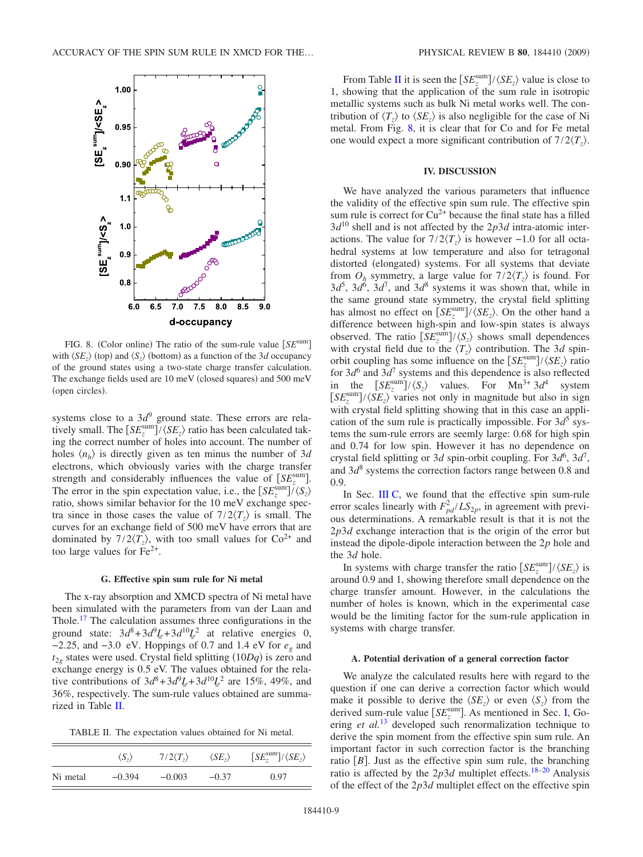<span id="page-8-0"></span>

FIG. 8. (Color online) The ratio of the sum-rule value [SE<sup>sum</sup>] with  $\langle SE_z \rangle$  (top) and  $\langle S_z \rangle$  (bottom) as a function of the 3*d* occupancy of the ground states using a two-state charge transfer calculation. The exchange fields used are 10 meV (closed squares) and 500 meV (open circles).

systems close to a 3*d*<sup>9</sup> ground state. These errors are relatively small. The  $\left[SE_z^{\text{sum}}\right] / \langle SE_z \rangle$  ratio has been calculated taking the correct number of holes into account. The number of holes  $\langle n_h \rangle$  is directly given as ten minus the number of 3*d* electrons, which obviously varies with the charge transfer strength and considerably influences the value of  $[SE_z^{\text{sum}}]$ . The error in the spin expectation value, i.e., the  $\left[SE_z^{\text{sum}}\right]/\langle S_z \rangle$ ratio, shows similar behavior for the 10 meV exchange spectra since in those cases the value of  $7/2\langle T_z \rangle$  is small. The curves for an exchange field of 500 meV have errors that are dominated by  $7/2\langle T_z \rangle$ , with too small values for  $Co^{2+}$  and too large values for  $Fe<sup>2+</sup>$ .

#### **G. Effective spin sum rule for Ni metal**

<span id="page-8-2"></span>The x-ray absorption and XMCD spectra of Ni metal have been simulated with the parameters from van der Laan and Thole.<sup>17</sup> The calculation assumes three configurations in the ground state:  $3d^8 + 3d^9L + 3d^{10}L^2$  at relative energies 0, −2.25, and −3.0 eV. Hoppings of 0.7 and 1.4 eV for *eg* and  $t_{2g}$  states were used. Crystal field splitting  $(10Dq)$  is zero and exchange energy is 0.5 eV. The values obtained for the relative contributions of  $3d^8 + 3d^9L + 3d^{10}L^2$  are 15%, 49%, and 36%, respectively. The sum-rule values obtained are summarized in Table [II.](#page-8-1)

<span id="page-8-1"></span>TABLE II. The expectation values obtained for Ni metal.

|          | $\langle S_z \rangle$ | $7/2\langle T_z\rangle$ | $\langle SE_z \rangle$ | $[SE_z^{\text{sum}}]/\langle SE_z \rangle$ |
|----------|-----------------------|-------------------------|------------------------|--------------------------------------------|
| Ni metal | $-0.394$              | $-0.003$                | $-0.37$                | 0.97                                       |

From Table [II](#page-8-1) it is seen the  $\left[ SE_{z}^{\text{sum}} \right] / \langle SE_{z} \rangle$  value is close to 1, showing that the application of the sum rule in isotropic metallic systems such as bulk Ni metal works well. The contribution of  $\langle T_z \rangle$  to  $\langle SE_z \rangle$  is also negligible for the case of Ni metal. From Fig. [8,](#page-8-0) it is clear that for Co and for Fe metal one would expect a more significant contribution of  $7/2\langle T_z\rangle$ .

#### **IV. DISCUSSION**

We have analyzed the various parameters that influence the validity of the effective spin sum rule. The effective spin sum rule is correct for  $Cu^{2+}$  because the final state has a filled  $3d^{10}$  shell and is not affected by the  $2p3d$  intra-atomic interactions. The value for  $7/2\langle T_z \rangle$  is however -1.0 for all octahedral systems at low temperature and also for tetragonal distorted (elongated) systems. For all systems that deviate from  $O_h$  symmetry, a large value for  $7/2\langle T_z \rangle$  is found. For  $3d^5$ ,  $3d^6$ ,  $3d^7$ , and  $3d^8$  systems it was shown that, while in the same ground state symmetry, the crystal field splitting has almost no effect on  $\left[ SE_z^{\text{sum}} \right] / \langle SE_z \rangle$ . On the other hand a difference between high-spin and low-spin states is always observed. The ratio  $\left[ SE_z^{\text{sum}} \right] / \langle S_z \rangle$  shows small dependences with crystal field due to the  $\langle T_z \rangle$  contribution. The 3*d* spinorbit coupling has some influence on the  $\left[SE_z^{\text{sum}}\right] / \langle SE_z \rangle$  ratio for  $3d^6$  and  $3d^7$  systems and this dependence is also reflected in the  $[SE_z^{\text{sum}}]/\langle S_z \rangle$  values. For  $Mn^{3+} 3d^4$  system  $[SE_z^{\text{sum}}]/\langle SE_z \rangle$  varies not only in magnitude but also in sign with crystal field splitting showing that in this case an application of the sum rule is practically impossible. For  $3d^5$  systems the sum-rule errors are seemly large: 0.68 for high spin and 0.74 for low spin. However it has no dependence on crystal field splitting or 3*d* spin-orbit coupling. For  $3d^6$ ,  $3d^7$ , and  $3d^8$  systems the correction factors range between 0.8 and 0.9.

In Sec. [III C,](#page-5-3) we found that the effective spin sum-rule error scales linearly with  $F_{pd}^2 / LS_{2p}$ , in agreement with previous determinations. A remarkable result is that it is not the 2*p*3*d* exchange interaction that is the origin of the error but instead the dipole-dipole interaction between the 2*p* hole and the 3*d* hole.

In systems with charge transfer the ratio  $\left[SE_z^{\text{sum}}\right] / \langle SE_z \rangle$  is around 0.9 and 1, showing therefore small dependence on the charge transfer amount. However, in the calculations the number of holes is known, which in the experimental case would be the limiting factor for the sum-rule application in systems with charge transfer.

#### **A. Potential derivation of a general correction factor**

We analyze the calculated results here with regard to the question if one can derive a correction factor which would make it possible to derive the  $\langle SE_z \rangle$  or even  $\langle S_z \rangle$  from the derived sum-rule value  $[SE<sub>z</sub><sup>sum</sup>]$ . As mentioned in Sec. [I,](#page-0-1) Goering *et al.*[13](#page-10-10) developed such renormalization technique to derive the spin moment from the effective spin sum rule. An important factor in such correction factor is the branching ratio  $[B]$ . Just as the effective spin sum rule, the branching ratio is affected by the  $2p3d$  multiplet effects.<sup>18-20</sup> Analysis of the effect of the 2*p*3*d* multiplet effect on the effective spin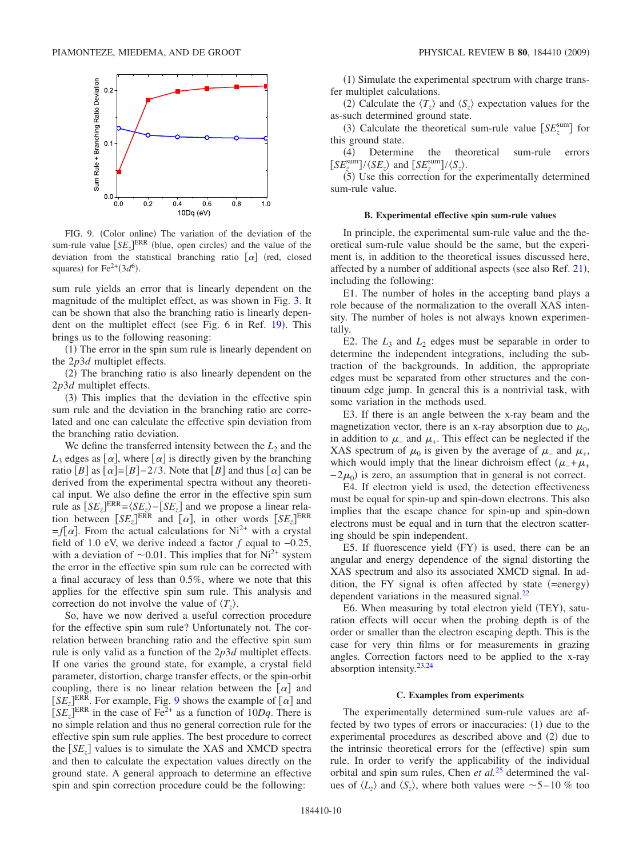<span id="page-9-0"></span>

FIG. 9. (Color online) The variation of the deviation of the sum-rule value  $\left[ SE_z \right]^{ERR}$  (blue, open circles) and the value of the deviation from the statistical branching ratio  $\lbrack \alpha \rbrack$  (red, closed squares) for  $Fe^{2+}(3d^6)$ .

sum rule yields an error that is linearly dependent on the magnitude of the multiplet effect, as was shown in Fig. [3.](#page-5-1) It can be shown that also the branching ratio is linearly depen-dent on the multiplet effect (see Fig. 6 in Ref. [19](#page-11-3)). This brings us to the following reasoning:

(1) The error in the spin sum rule is linearly dependent on the 2*p*3*d* multiplet effects.

(2) The branching ratio is also linearly dependent on the 2*p*3*d* multiplet effects.

(3) This implies that the deviation in the effective spin sum rule and the deviation in the branching ratio are correlated and one can calculate the effective spin deviation from the branching ratio deviation.

We define the transferred intensity between the  $L_2$  and the  $L_3$  edges as  $[\alpha]$ , where  $[\alpha]$  is directly given by the branching ratio  $[B]$  as  $[\alpha]=[B]-2/3$ . Note that  $[B]$  and thus  $[\alpha]$  can be derived from the experimental spectra without any theoretical input. We also define the error in the effective spin sum rule as  $[SE_z]^{ERR} = \langle SE_z \rangle - [SE_z]$  and we propose a linear relation between  $\left[ SE_z \right]^{ERR}$  and  $\left[ \alpha \right]$ , in other words  $\left[ SE_z \right]^{ERR}$  $=f[\alpha]$ . From the actual calculations for Ni<sup>2+</sup> with a crystal field of 1.0 eV, we derive indeed a factor *f* equal to −0.25, with a deviation of  $\sim$  0.01. This implies that for Ni<sup>2+</sup> system the error in the effective spin sum rule can be corrected with a final accuracy of less than 0.5%, where we note that this applies for the effective spin sum rule. This analysis and correction do not involve the value of  $\langle T_z \rangle$ .

So, have we now derived a useful correction procedure for the effective spin sum rule? Unfortunately not. The correlation between branching ratio and the effective spin sum rule is only valid as a function of the 2*p*3*d* multiplet effects. If one varies the ground state, for example, a crystal field parameter, distortion, charge transfer effects, or the spin-orbit coupling, there is no linear relation between the  $\lbrack \alpha \rbrack$  and  $[SE<sub>z</sub>]$ <sup>ERR</sup>. For example, Fig. [9](#page-9-0) shows the example of  $\alpha$  and  $[SE<sub>z</sub>]$ <sup>ERR</sup> in the case of Fe<sup>2+</sup> as a function of 10*Dq*. There is no simple relation and thus no general correction rule for the effective spin sum rule applies. The best procedure to correct the  $[SE_z]$  values is to simulate the XAS and XMCD spectra and then to calculate the expectation values directly on the ground state. A general approach to determine an effective spin and spin correction procedure could be the following:

(1) Simulate the experimental spectrum with charge transfer multiplet calculations.

(2) Calculate the  $\langle T_z \rangle$  and  $\langle S_z \rangle$  expectation values for the as-such determined ground state.

(3) Calculate the theoretical sum-rule value  $\left[ SE_z^{\text{sum}} \right]$  for this ground state.

(4) Determine the theoretical sum-rule errors  $\left[ SE^{\text{sum}}_{z} \right] / \langle SE_{z} \rangle$  and  $\left[ SE^{\text{sum}}_{z} \right] / \langle S_{z} \rangle$ .

(5) Use this correction for the experimentally determined sum-rule value.

### **B. Experimental effective spin sum-rule values**

In principle, the experimental sum-rule value and the theoretical sum-rule value should be the same, but the experiment is, in addition to the theoretical issues discussed here, affected by a number of additional aspects (see also Ref. [21](#page-11-4)), including the following:

E1. The number of holes in the accepting band plays a role because of the normalization to the overall XAS intensity. The number of holes is not always known experimentally.

E2. The  $L_3$  and  $L_2$  edges must be separable in order to determine the independent integrations, including the subtraction of the backgrounds. In addition, the appropriate edges must be separated from other structures and the continuum edge jump. In general this is a nontrivial task, with some variation in the methods used.

E3. If there is an angle between the x-ray beam and the magnetization vector, there is an x-ray absorption due to  $\mu_0$ , in addition to  $\mu$ <sub>-</sub> and  $\mu$ <sub>+</sub>. This effect can be neglected if the XAS spectrum of  $\mu_0$  is given by the average of  $\mu$  and  $\mu_+$ , which would imply that the linear dichroism effect  $(\mu_{-} + \mu_{+})$  $-2\mu_0$ ) is zero, an assumption that in general is not correct.

E4. If electron yield is used, the detection effectiveness must be equal for spin-up and spin-down electrons. This also implies that the escape chance for spin-up and spin-down electrons must be equal and in turn that the electron scattering should be spin independent.

E5. If fluorescence yield (FY) is used, there can be an angular and energy dependence of the signal distorting the XAS spectrum and also its associated XMCD signal. In addition, the FY signal is often affected by state  $(=energy)$ dependent variations in the measured signal.<sup>22</sup>

E6. When measuring by total electron yield (TEY), saturation effects will occur when the probing depth is of the order or smaller than the electron escaping depth. This is the case for very thin films or for measurements in grazing angles. Correction factors need to be applied to the x-ray absorption intensity. $23,24$  $23,24$ 

#### **C. Examples from experiments**

The experimentally determined sum-rule values are affected by two types of errors or inaccuracies:  $(1)$  due to the experimental procedures as described above and (2) due to the intrinsic theoretical errors for the (effective) spin sum rule. In order to verify the applicability of the individual orbital and spin sum rules, Chen *et al.*[25](#page-11-8) determined the values of  $\langle L_z \rangle$  and  $\langle S_z \rangle$ , where both values were  $\sim$  5 – 10 % too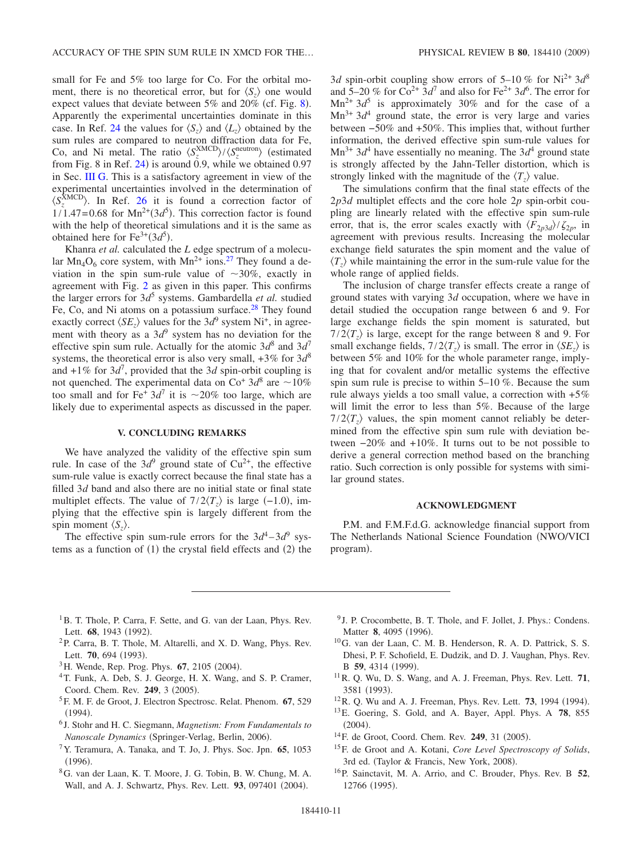small for Fe and 5% too large for Co. For the orbital moment, there is no theoretical error, but for  $\langle S_{z} \rangle$  one would expect values that deviate between  $5\%$  and  $20\%$  (cf. Fig. [8](#page-8-0)). Apparently the experimental uncertainties dominate in this case. In Ref. [24](#page-11-7) the values for  $\langle S_z \rangle$  and  $\langle L_z \rangle$  obtained by the sum rules are compared to neutron diffraction data for Fe, Co, and Ni metal. The ratio  $\langle S_z^{\text{XMCD}} \rangle / \langle S_z^{\text{neutron}} \rangle$  (estimated from Fig.  $8$  in Ref. [24](#page-11-7)) is around 0.9, while we obtained 0.97 in Sec. [III G.](#page-8-2) This is a satisfactory agreement in view of the experimental uncertainties involved in the determination of  $\langle S_z^{\text{XMCD}} \rangle$ . In Ref. [26](#page-11-9) it is found a correction factor of  $1/1.47 = 0.68$  for  $Mn^{2+}(3d^5)$ . This correction factor is found with the help of theoretical simulations and it is the same as obtained here for  $Fe^{3+}(3d^5)$ .

Khanra *et al.* calculated the *L* edge spectrum of a molecular  $Mn_4O_6$  core system, with  $Mn^{2+}$  ions.<sup>27</sup> They found a deviation in the spin sum-rule value of  $\sim 30\%$ , exactly in agreement with Fig. [2](#page-4-1) as given in this paper. This confirms the larger errors for  $3d^5$  systems. Gambardella *et al.* studied Fe, Co, and Ni atoms on a potassium surface.<sup>28</sup> They found exactly correct  $\langle SE_z \rangle$  values for the 3*d*<sup>9</sup> system Ni<sup>+</sup>, in agreement with theory as a  $3d^9$  system has no deviation for the effective spin sum rule. Actually for the atomic  $3d^8$  and  $3d^7$ systems, the theoretical error is also very small, +3*%* for 3*d*<sup>8</sup> and  $+1\%$  for  $3d^7$ , provided that the 3*d* spin-orbit coupling is not quenched. The experimental data on  $\text{Co}^+ 3d^8$  are  $\sim 10\%$ too small and for Fe<sup>+</sup>  $3d^7$  it is  $\sim$  20% too large, which are likely due to experimental aspects as discussed in the paper.

# **V. CONCLUDING REMARKS**

We have analyzed the validity of the effective spin sum rule. In case of the  $3d^9$  ground state of  $Cu^{2+}$ , the effective sum-rule value is exactly correct because the final state has a filled 3*d* band and also there are no initial state or final state multiplet effects. The value of  $7/2\langle T_z \rangle$  is large  $(-1.0)$ , implying that the effective spin is largely different from the spin moment  $\langle S_z \rangle$ .

The effective spin sum-rule errors for the  $3d^4 - 3d^9$  systems as a function of  $(1)$  the crystal field effects and  $(2)$  the

3*d* spin-orbit coupling show errors of 5–10 % for Ni<sup>2+</sup> 3 $d^8$ and  $5-20\%$  for  $Co^{2+}3d^7$  and also for  $Fe^{2+}3d^6$ . The error for  $Mn^{2+}$  3 $d^5$  is approximately 30% and for the case of a  $Mn^{3+}$  3 $d^4$  ground state, the error is very large and varies between −50*%* and +50*%*. This implies that, without further information, the derived effective spin sum-rule values for  $Mn^{3+}$  3d<sup>4</sup> have essentially no meaning. The 3d<sup>4</sup> ground state is strongly affected by the Jahn-Teller distortion, which is strongly linked with the magnitude of the  $\langle T_z \rangle$  value.

The simulations confirm that the final state effects of the 2*p*3*d* multiplet effects and the core hole 2*p* spin-orbit coupling are linearly related with the effective spin sum-rule error, that is, the error scales exactly with  $\langle F_{2p3d} \rangle / \zeta_{2p}$ , in agreement with previous results. Increasing the molecular exchange field saturates the spin moment and the value of  $\langle T_z \rangle$  while maintaining the error in the sum-rule value for the whole range of applied fields.

The inclusion of charge transfer effects create a range of ground states with varying 3*d* occupation, where we have in detail studied the occupation range between 6 and 9. For large exchange fields the spin moment is saturated, but  $7/2\langle T_z \rangle$  is large, except for the range between 8 and 9. For small exchange fields,  $7/2\langle T_z \rangle$  is small. The error in  $\langle SE_z \rangle$  is between 5% and 10% for the whole parameter range, implying that for covalent and/or metallic systems the effective spin sum rule is precise to within 5–10 %. Because the sum rule always yields a too small value, a correction with +5*%* will limit the error to less than 5%. Because of the large  $7/2\langle T_z \rangle$  values, the spin moment cannot reliably be determined from the effective spin sum rule with deviation between −20*%* and +10*%*. It turns out to be not possible to derive a general correction method based on the branching ratio. Such correction is only possible for systems with similar ground states.

#### **ACKNOWLEDGMENT**

P.M. and F.M.F.d.G. acknowledge financial support from The Netherlands National Science Foundation (NWO/VICI) program).

- <span id="page-10-0"></span><sup>1</sup>B. T. Thole, P. Carra, F. Sette, and G. van der Laan, Phys. Rev. Lett. 68, 1943 (1992).
- <span id="page-10-1"></span>2P. Carra, B. T. Thole, M. Altarelli, and X. D. Wang, Phys. Rev. Lett. **70**, 694 (1993).
- <span id="page-10-2"></span><sup>3</sup>H. Wende, Rep. Prog. Phys. **67**, 2105 (2004).
- 4T. Funk, A. Deb, S. J. George, H. X. Wang, and S. P. Cramer, Coord. Chem. Rev. 249, 3 (2005).
- 5F. M. F. de Groot, J. Electron Spectrosc. Relat. Phenom. **67**, 529  $(1994).$
- <span id="page-10-3"></span><sup>6</sup> J. Stohr and H. C. Siegmann, *Magnetism: From Fundamentals to* Nanoscale Dynamics (Springer-Verlag, Berlin, 2006).
- <span id="page-10-4"></span>7Y. Teramura, A. Tanaka, and T. Jo, J. Phys. Soc. Jpn. **65**, 1053  $(1996).$
- <span id="page-10-5"></span>8G. van der Laan, K. T. Moore, J. G. Tobin, B. W. Chung, M. A. Wall, and A. J. Schwartz, Phys. Rev. Lett. 93, 097401 (2004).
- <span id="page-10-6"></span><sup>9</sup> J. P. Crocombette, B. T. Thole, and F. Jollet, J. Phys.: Condens. Matter 8, 4095 (1996).
- <span id="page-10-7"></span>10G. van der Laan, C. M. B. Henderson, R. A. D. Pattrick, S. S. Dhesi, P. F. Schofield, E. Dudzik, and D. J. Vaughan, Phys. Rev. B 59, 4314 (1999).
- <span id="page-10-8"></span>11R. Q. Wu, D. S. Wang, and A. J. Freeman, Phys. Rev. Lett. **71**, 3581 (1993).
- <span id="page-10-9"></span> $12R$ . Q. Wu and A. J. Freeman, Phys. Rev. Lett. **73**, 1994 (1994).
- <span id="page-10-10"></span>13E. Goering, S. Gold, and A. Bayer, Appl. Phys. A **78**, 855  $(2004).$
- <span id="page-10-11"></span><sup>14</sup> F. de Groot, Coord. Chem. Rev. **249**, 31 (2005).
- <span id="page-10-12"></span>15F. de Groot and A. Kotani, *Core Level Spectroscopy of Solids*, 3rd ed. (Taylor & Francis, New York, 2008).
- <span id="page-10-13"></span>16P. Sainctavit, M. A. Arrio, and C. Brouder, Phys. Rev. B **52**, 12766 (1995).